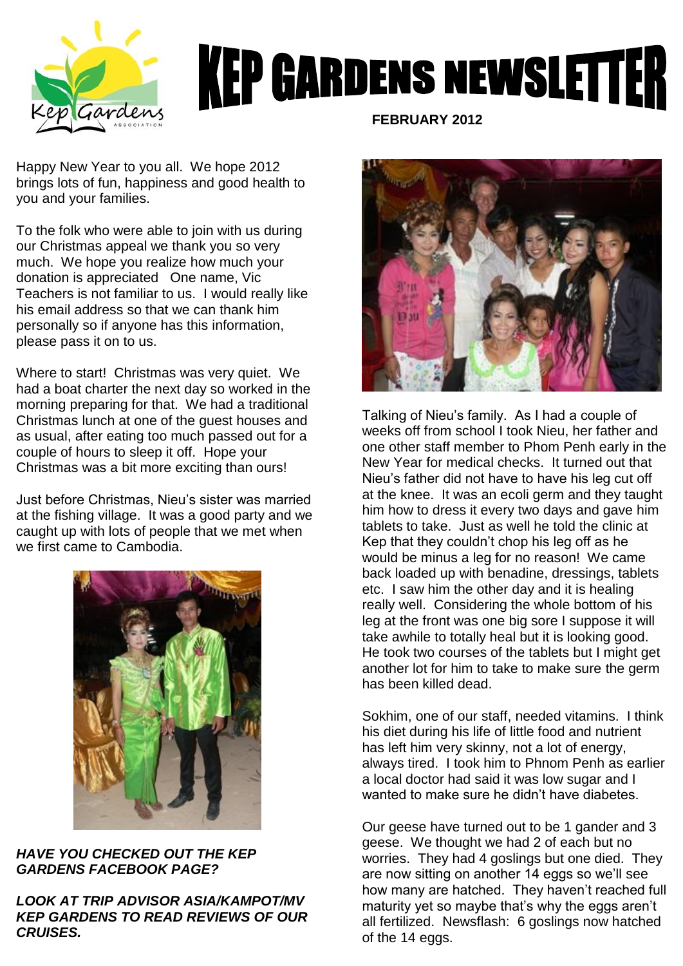

## **KEP GARDENS NEWSLETTER**

Happy New Year to you all. We hope 2012 brings lots of fun, happiness and good health to you and your families.

To the folk who were able to join with us during our Christmas appeal we thank you so very much. We hope you realize how much your donation is appreciated One name, Vic Teachers is not familiar to us. I would really like his email address so that we can thank him personally so if anyone has this information, please pass it on to us.

Where to start! Christmas was very quiet. We had a boat charter the next day so worked in the morning preparing for that. We had a traditional Christmas lunch at one of the guest houses and as usual, after eating too much passed out for a couple of hours to sleep it off. Hope your Christmas was a bit more exciting than ours!

Just before Christmas, Nieu's sister was married at the fishing village. It was a good party and we caught up with lots of people that we met when we first came to Cambodia.



*HAVE YOU CHECKED OUT THE KEP GARDENS FACEBOOK PAGE?*

*LOOK AT TRIP ADVISOR ASIA/KAMPOT/MV KEP GARDENS TO READ REVIEWS OF OUR CRUISES.*

 **FEBRUARY 2012**



Talking of Nieu's family. As I had a couple of weeks off from school I took Nieu, her father and one other staff member to Phom Penh early in the New Year for medical checks. It turned out that Nieu's father did not have to have his leg cut off at the knee. It was an ecoli germ and they taught him how to dress it every two days and gave him tablets to take. Just as well he told the clinic at Kep that they couldn't chop his leg off as he would be minus a leg for no reason! We came back loaded up with benadine, dressings, tablets etc. I saw him the other day and it is healing really well. Considering the whole bottom of his leg at the front was one big sore I suppose it will take awhile to totally heal but it is looking good. He took two courses of the tablets but I might get another lot for him to take to make sure the germ has been killed dead.

Sokhim, one of our staff, needed vitamins. I think his diet during his life of little food and nutrient has left him very skinny, not a lot of energy, always tired. I took him to Phnom Penh as earlier a local doctor had said it was low sugar and I wanted to make sure he didn't have diabetes.

Our geese have turned out to be 1 gander and 3 geese. We thought we had 2 of each but no worries. They had 4 goslings but one died. They are now sitting on another 14 eggs so we'll see how many are hatched. They haven't reached full maturity yet so maybe that's why the eggs aren't all fertilized. Newsflash: 6 goslings now hatched of the 14 eggs.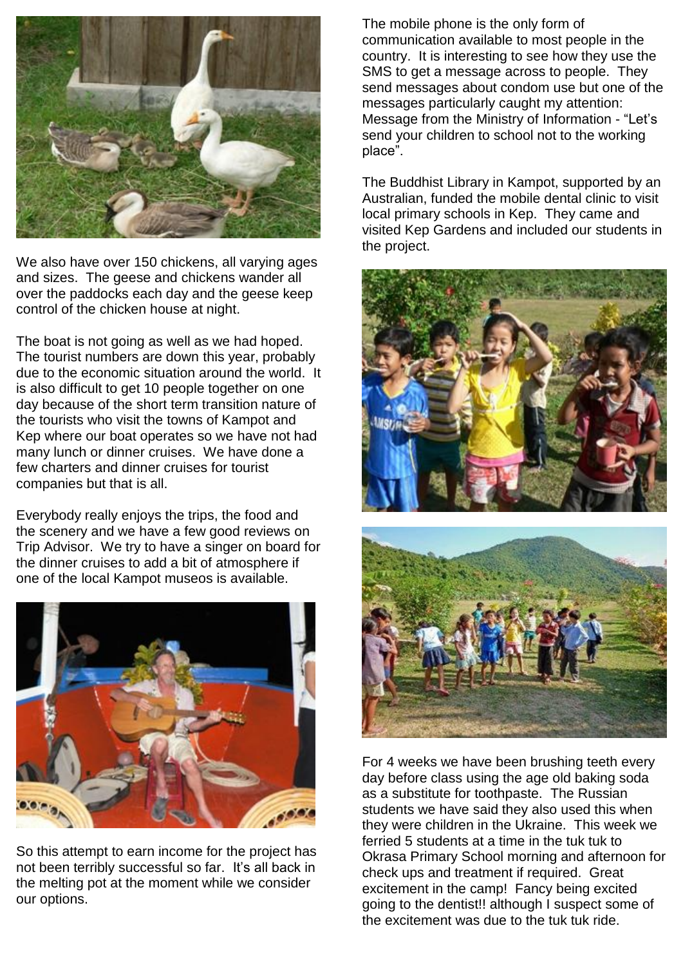

We also have over 150 chickens, all varying ages and sizes. The geese and chickens wander all over the paddocks each day and the geese keep control of the chicken house at night.

The boat is not going as well as we had hoped. The tourist numbers are down this year, probably due to the economic situation around the world. It is also difficult to get 10 people together on one day because of the short term transition nature of the tourists who visit the towns of Kampot and Kep where our boat operates so we have not had many lunch or dinner cruises. We have done a few charters and dinner cruises for tourist companies but that is all.

Everybody really enjoys the trips, the food and the scenery and we have a few good reviews on Trip Advisor. We try to have a singer on board for the dinner cruises to add a bit of atmosphere if one of the local Kampot museos is available.



So this attempt to earn income for the project has not been terribly successful so far. It's all back in the melting pot at the moment while we consider our options.

The mobile phone is the only form of communication available to most people in the country. It is interesting to see how they use the SMS to get a message across to people. They send messages about condom use but one of the messages particularly caught my attention: Message from the Ministry of Information - "Let's send your children to school not to the working place".

The Buddhist Library in Kampot, supported by an Australian, funded the mobile dental clinic to visit local primary schools in Kep. They came and visited Kep Gardens and included our students in the project.





For 4 weeks we have been brushing teeth every day before class using the age old baking soda as a substitute for toothpaste. The Russian students we have said they also used this when they were children in the Ukraine. This week we ferried 5 students at a time in the tuk tuk to Okrasa Primary School morning and afternoon for check ups and treatment if required. Great excitement in the camp! Fancy being excited going to the dentist!! although I suspect some of the excitement was due to the tuk tuk ride.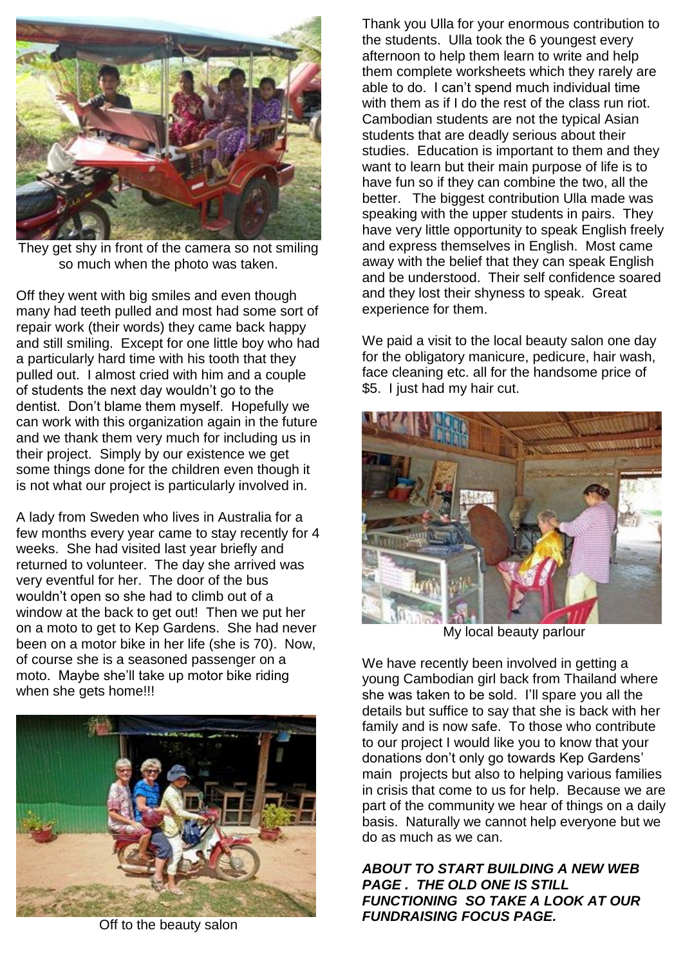

They get shy in front of the camera so not smiling so much when the photo was taken.

Off they went with big smiles and even though many had teeth pulled and most had some sort of repair work (their words) they came back happy and still smiling. Except for one little boy who had a particularly hard time with his tooth that they pulled out. I almost cried with him and a couple of students the next day wouldn't go to the dentist. Don't blame them myself. Hopefully we can work with this organization again in the future and we thank them very much for including us in their project. Simply by our existence we get some things done for the children even though it is not what our project is particularly involved in.

A lady from Sweden who lives in Australia for a few months every year came to stay recently for 4 weeks. She had visited last year briefly and returned to volunteer. The day she arrived was very eventful for her. The door of the bus wouldn't open so she had to climb out of a window at the back to get out! Then we put her on a moto to get to Kep Gardens. She had never been on a motor bike in her life (she is 70). Now, of course she is a seasoned passenger on a moto. Maybe she'll take up motor bike riding when she gets home!!!



Off to the beauty salon

Thank you Ulla for your enormous contribution to the students. Ulla took the 6 youngest every afternoon to help them learn to write and help them complete worksheets which they rarely are able to do. I can't spend much individual time with them as if I do the rest of the class run riot. Cambodian students are not the typical Asian students that are deadly serious about their studies. Education is important to them and they want to learn but their main purpose of life is to have fun so if they can combine the two, all the better. The biggest contribution Ulla made was speaking with the upper students in pairs. They have very little opportunity to speak English freely and express themselves in English. Most came away with the belief that they can speak English and be understood. Their self confidence soared and they lost their shyness to speak. Great experience for them.

We paid a visit to the local beauty salon one day for the obligatory manicure, pedicure, hair wash, face cleaning etc. all for the handsome price of \$5. I just had my hair cut.



My local beauty parlour

We have recently been involved in getting a young Cambodian girl back from Thailand where she was taken to be sold. I'll spare you all the details but suffice to say that she is back with her family and is now safe. To those who contribute to our project I would like you to know that your donations don't only go towards Kep Gardens' main projects but also to helping various families in crisis that come to us for help. Because we are part of the community we hear of things on a daily basis. Naturally we cannot help everyone but we do as much as we can.

*ABOUT TO START BUILDING A NEW WEB PAGE . THE OLD ONE IS STILL FUNCTIONING SO TAKE A LOOK AT OUR FUNDRAISING FOCUS PAGE.*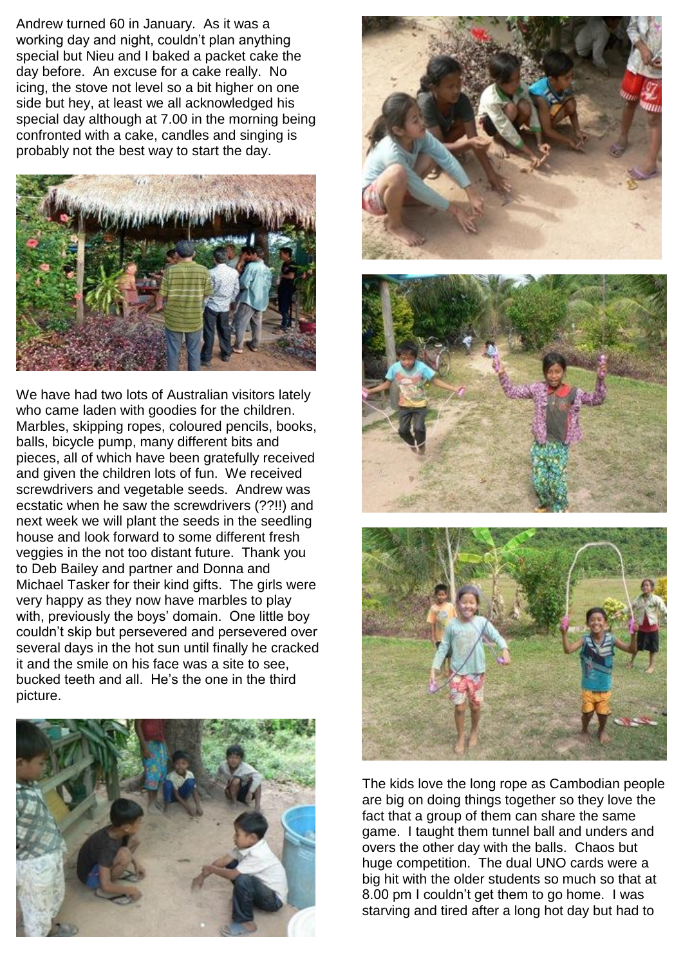Andrew turned 60 in January. As it was a working day and night, couldn't plan anything special but Nieu and I baked a packet cake the day before. An excuse for a cake really. No icing, the stove not level so a bit higher on one side but hey, at least we all acknowledged his special day although at 7.00 in the morning being confronted with a cake, candles and singing is probably not the best way to start the day.



We have had two lots of Australian visitors lately who came laden with goodies for the children. Marbles, skipping ropes, coloured pencils, books, balls, bicycle pump, many different bits and pieces, all of which have been gratefully received and given the children lots of fun. We received screwdrivers and vegetable seeds. Andrew was ecstatic when he saw the screwdrivers (??!!) and next week we will plant the seeds in the seedling house and look forward to some different fresh veggies in the not too distant future. Thank you to Deb Bailey and partner and Donna and Michael Tasker for their kind gifts. The girls were very happy as they now have marbles to play with, previously the boys' domain. One little boy couldn't skip but persevered and persevered over several days in the hot sun until finally he cracked it and the smile on his face was a site to see, bucked teeth and all. He's the one in the third picture.





The kids love the long rope as Cambodian people are big on doing things together so they love the fact that a group of them can share the same game. I taught them tunnel ball and unders and overs the other day with the balls. Chaos but huge competition. The dual UNO cards were a big hit with the older students so much so that at 8.00 pm I couldn't get them to go home. I was starving and tired after a long hot day but had to